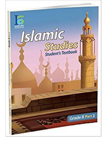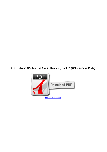*ICO Islamic Studies Textbook: Grade 8, Part 2 (With Access Code)*

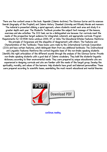*There are five content areas in the book: 'Aqeedah (Islamic doctrine) The Glorious Qur'an and its sciences Seerah (biography of the Prophet) and Islamic History 'Ibaadaat (Worship and Rituals) Morals and manners The material is presented utilizing a spiral approach, where students revisit each area and study it in greater depth each year. The Student's Textbook provides the subject text message of the lessons, exercises and also activities. The ICO task can be a distinguished one because: Our curricula meet the needs of the prospective target audience for integrated, coherent, and appropriate curricula. Program Requirements for CD-ROM: Home windows 2000, XP, or Vista The Educational Articles Features: Reinforce the principle of forgiveness and the etiquette of disagreement with others. The Features and Characteristics of the Textbooks: These books were made by the International Curricula Corporation (ICO) and have certain features, which distinguish them from any additional textbooks: The Instructional and Linguistic Features: Reinforce the correct linguistic basis of the non-Arabic speaking students. Identify the right articulation of the different sounds through the analysis of the Glorious Qur'an. Provide non-Arabic speaking students with a good deal of Islamic vocabulary. They build the students' linguistic dictionary according to their environmental needs. They were prepared by unique educationists who are experienced in designing curricula and who are familiar with the needs of the target group. Develop the spirituality, morality, and values of the learners. Help students have great and balanced personalities. These were prepared according to scientific bases, assimilating the most recent educational and mental theories.*



*[continue reading](http://bit.ly/2Tge8Fv)*